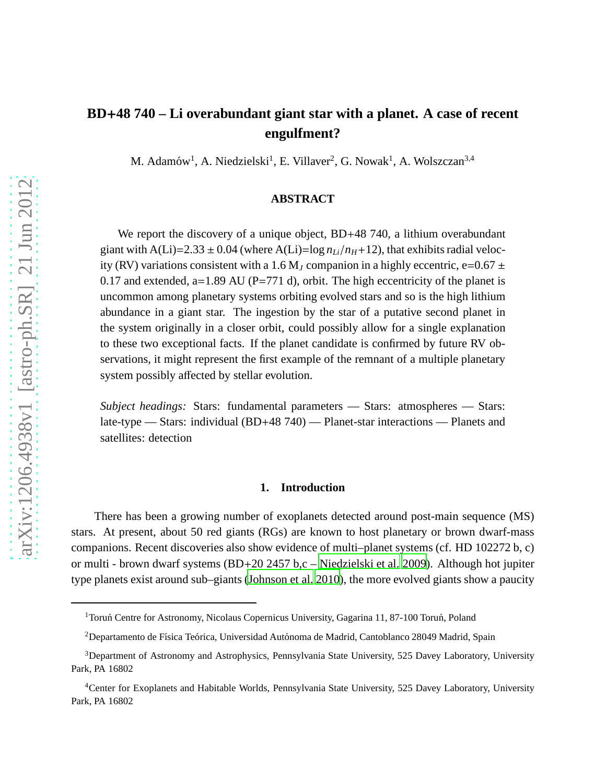# **BD**+**48 740 – Li overabundant giant star with a planet. A case of recent engulfment?**

M. Adamów<sup>1</sup>, A. Niedzielski<sup>1</sup>, E. Villaver<sup>2</sup>, G. Nowak<sup>1</sup>, A. Wolszczan<sup>3,4</sup>

# **ABSTRACT**

We report the discovery of a unique object, BD+48 740, a lithium overabundant giant with A(Li)=2.33  $\pm$  0.04 (where A(Li)=log  $n_{Li}/n_H+12$ ), that exhibits radial velocity (RV) variations consistent with a 1.6 M<sub>J</sub> companion in a highly eccentric, e=0.67  $\pm$ 0.17 and extended, a=1.89 AU ( $P=771$  d), orbit. The high eccentricity of the planet is uncommon among planetary systems orbiting evolved stars and so is the high lithium abundance in a giant star. The ingestion by the star of a putative second planet in the system originally in a closer orbit, could possibly allow for a single explanation to these two exceptional facts. If the planet candidate is confirmed by future RV observations, it might represent the first example of the remnant of a multiple planetary system possibly affected by stellar evolution.

*Subject headings:* Stars: fundamental parameters — Stars: atmospheres — Stars: late-type — Stars: individual (BD+48 740) — Planet-star interactions — Planets and satellites: detection

### **1. Introduction**

There has been a growing number of exoplanets detected around post-main sequence (MS) stars. At present, about 50 red giants (RGs) are known to host planetary or brown dwarf-mass companions. Recent discoveries also show evidence of multi–planet systems (cf. HD 102272 b, c) or multi - brown dwarf systems (BD+20 2457 b,c – [Niedzielski et al. 2009\)](#page-12-0). Although hot jupiter type planets exist around sub–giants [\(Johnson et al. 2010](#page-11-0)), the more evolved giants show a paucity

<sup>&</sup>lt;sup>1</sup> Toruń Centre for Astronomy, Nicolaus Copernicus University, Gagarina 11, 87-100 Toruń, Poland

<sup>&</sup>lt;sup>2</sup>Departamento de Física Teórica, Universidad Autónoma de Madrid, Cantoblanco 28049 Madrid, Spain

<sup>3</sup>Department of Astronomy and Astrophysics, Pennsylvania State University, 525 Davey Laboratory, University Park, PA 16802

<sup>4</sup>Center for Exoplanets and Habitable Worlds, Pennsylvania State University, 525 Davey Laboratory, University Park, PA 16802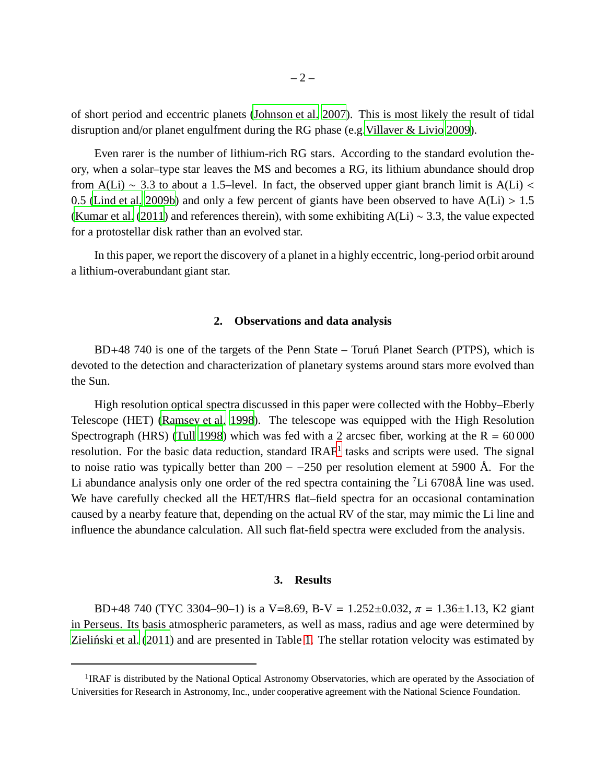of short period and eccentric planets [\(Johnson et al. 2007\)](#page-11-1). This is most likely the result of tidal disruption and/or planet engulfment during the RG phase (e.g. Villaver & Livio 2009).

Even rarer is the number of lithium-rich RG stars. According to the standard evolution theory, when a solar–type star leaves the MS and becomes a RG, its lithium abundance should drop from A(Li) ~ 3.3 to about a 1.5–level. In fact, the observed upper giant branch limit is A(Li) < 0.5 [\(Lind et al. 2009b](#page-12-2)) and only a few percent of giants have been observed to have  $A(Li) > 1.5$ [\(Kumar et al.](#page-11-2) [\(2011\)](#page-11-2) and references therein), with some exhibiting A(Li) ∼ 3.3, the value expected for a protostellar disk rather than an evolved star.

In this paper, we report the discovery of a planet in a highly eccentric, long-period orbit around a lithium-overabundant giant star.

### **2. Observations and data analysis**

BD+48 740 is one of the targets of the Penn State – Toruñ Planet Search (PTPS), which is devoted to the detection and characterization of planetary systems around stars more evolved than the Sun.

High resolution optical spectra discussed in this paper were collected with the Hobby–Eberly Telescope (HET) [\(Ramsey et al. 1998\)](#page-12-3). The telescope was equipped with the High Resolution Spectrograph (HRS) [\(Tull 1998](#page-12-4)) which was fed with a 2 arcsec fiber, working at the  $R = 60000$ resolution. For the basic data reduction, standard IRAF<sup>[1](#page-13-0)</sup> tasks and scripts were used. The signal to noise ratio was typically better than  $200 - 250$  per resolution element at 5900 Å. For the Li abundance analysis only one order of the red spectra containing the  ${}^{7}Li$  6708Å line was used. We have carefully checked all the HET/HRS flat–field spectra for an occasional contamination caused by a nearby feature that, depending on the actual RV of the star, may mimic the Li line and influence the abundance calculation. All such flat-field spectra were excluded from the analysis.

#### **3. Results**

BD+48 740 (TYC 3304–90–1) is a V=8.69, B-V = 1.252 $\pm$ 0.032,  $\pi$  = 1.36 $\pm$ 1.13, K2 giant in Perseus. Its basis atmospheric parameters, as well as mass, radius and age were determined by Zieliński et al. [\(2011\)](#page-13-1) and are presented in Table [1.](#page-3-0) The stellar rotation velocity was estimated by

<sup>&</sup>lt;sup>1</sup> IRAF is distributed by the National Optical Astronomy Observatories, which are operated by the Association of Universities for Research in Astronomy, Inc., under cooperative agreement with the National Science Foundation.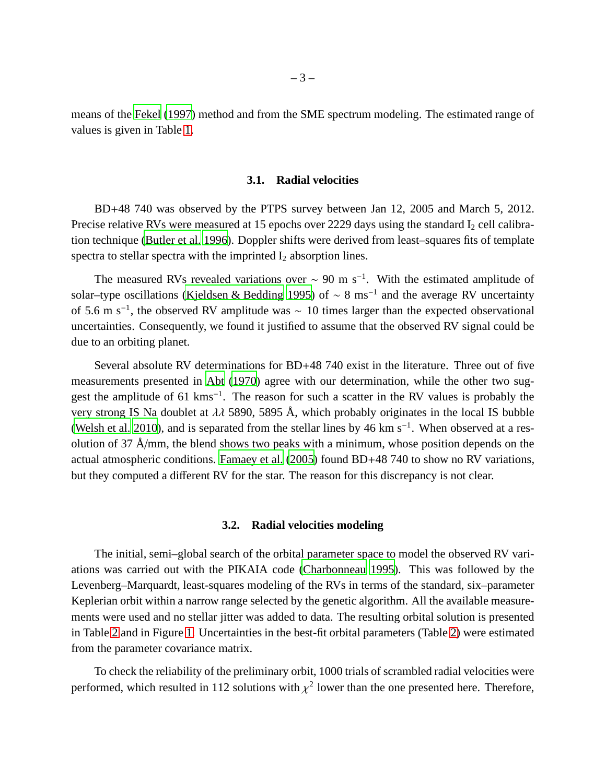means of the [Fekel](#page-11-3) [\(1997\)](#page-11-3) method and from the SME spectrum modeling. The estimated range of values is given in Table [1.](#page-3-0)

### **3.1. Radial velocities**

BD+48 740 was observed by the PTPS survey between Jan 12, 2005 and March 5, 2012. Precise relative RVs were measured at 15 epochs over 2229 days using the standard  $I_2$  cell calibration technique [\(Butler et al. 1996\)](#page-10-0). Doppler shifts were derived from least–squares fits of template spectra to stellar spectra with the imprinted  $I_2$  absorption lines.

The measured RVs revealed variations over  $\sim 90$  m s<sup>-1</sup>. With the estimated amplitude of solar–type oscillations [\(Kjeldsen & Bedding 1995\)](#page-11-4) of  $\sim 8 \text{ ms}^{-1}$  and the average RV uncertainty of 5.6 m s<sup>-1</sup>, the observed RV amplitude was  $\sim 10$  times larger than the expected observational uncertainties. Consequently, we found it justified to assume that the observed RV signal could be due to an orbiting planet.

Several absolute RV determinations for BD+48 740 exist in the literature. Three out of five measurements presented in [Abt \(1970](#page-10-1)) agree with our determination, while the other two suggest the amplitude of 61 kms<sup>-1</sup>. The reason for such a scatter in the RV values is probably the very strong IS Na doublet at  $\lambda\lambda$  5890, 5895 Å, which probably originates in the local IS bubble [\(Welsh et al. 2010](#page-12-5)), and is separated from the stellar lines by 46 km s<sup>-1</sup>. When observed at a resolution of 37 Å/mm, the blend shows two peaks with a minimum, whose position depends on the actual atmospheric conditions. [Famaey et al. \(2005](#page-11-5)) found BD+48 740 to show no RV variations, but they computed a different RV for the star. The reason for this discrepancy is not clear.

### **3.2. Radial velocities modeling**

The initial, semi–global search of the orbital parameter space to model the observed RV variations was carried out with the PIKAIA code [\(Charbonneau 1995\)](#page-11-6). This was followed by the Levenberg–Marquardt, least-squares modeling of the RVs in terms of the standard, six–parameter Keplerian orbit within a narrow range selected by the genetic algorithm. All the available measurements were used and no stellar jitter was added to data. The resulting orbital solution is presented in Table [2](#page-3-1) and in Figure [1.](#page-4-0) Uncertainties in the best-fit orbital parameters (Table [2\)](#page-3-1) were estimated from the parameter covariance matrix.

To check the reliability of the preliminary orbit, 1000 trials of scrambled radial velocities were performed, which resulted in 112 solutions with  $\chi^2$  lower than the one presented here. Therefore,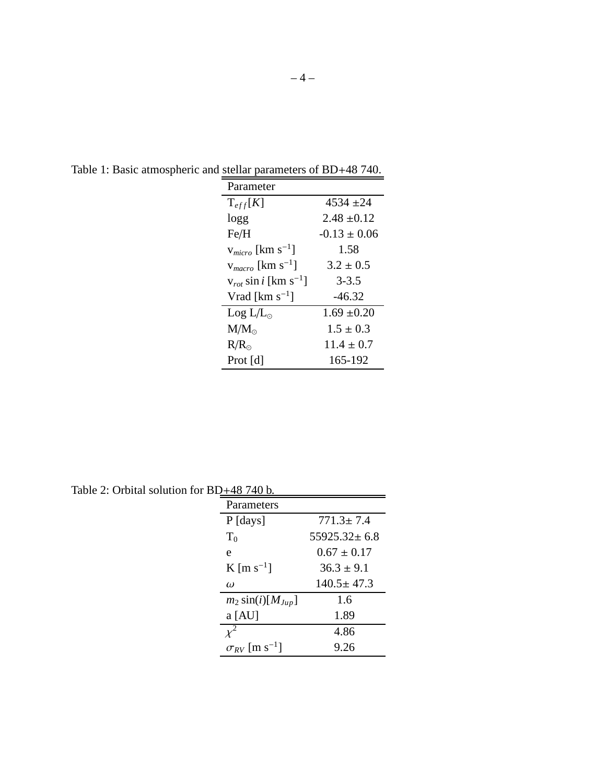| Parameter                             |                 |
|---------------------------------------|-----------------|
| $T_{eff}[K]$                          | 4534+24         |
| logg                                  | $2.48 \pm 0.12$ |
| Fe/H                                  | $-0.13 + 0.06$  |
| $v_{micro}$ [km s <sup>-1</sup> ]     | 1.58            |
| $v_{macro}$ [km s <sup>-1</sup> ]     | $3.2 \pm 0.5$   |
| $v_{rot}$ sin i [km s <sup>-1</sup> ] | $3 - 3.5$       |
| Vrad [ $km s^{-1}$ ]                  | $-46.32$        |
| $Log L/L_{\odot}$                     | $1.69 \pm 0.20$ |
| $M/M_{\odot}$                         | $1.5 \pm 0.3$   |
| $R/R_{\odot}$                         | $11.4 + 0.7$    |
| Prot $[d]$                            | 165-192         |

<span id="page-3-0"></span>Table 1: Basic atmospheric and stellar parameters of BD+48 740.

<span id="page-3-1"></span>Table 2: Orbital solution for  $BD_+48740 b$ .

| 740 740 D.                         |                    |
|------------------------------------|--------------------|
| Parameters                         |                    |
| $P$ [days]                         | $771.3 \pm 7.4$    |
| $T_0$                              | $55925.32 \pm 6.8$ |
| e                                  | $0.67 + 0.17$      |
| K [m s <sup>-1</sup> ]             | $36.3 + 9.1$       |
| $\omega$                           | $140.5 + 47.3$     |
| $m_2 \sin(i) [M_{Jup}]$            | 1.6                |
| $a$ [AU]                           | 1.89               |
|                                    | 4.86               |
| $\sigma_{RV}$ [m s <sup>-1</sup> ] | 9.26               |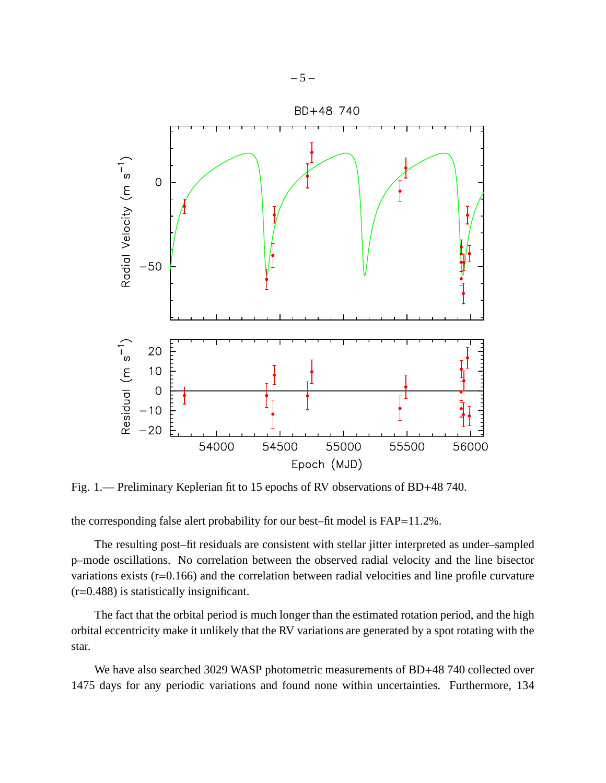

<span id="page-4-0"></span>Fig. 1.— Preliminary Keplerian fit to 15 epochs of RV observations of BD+48 740.

the corresponding false alert probability for our best–fit model is FAP=11.2%.

The resulting post–fit residuals are consistent with stellar jitter interpreted as under–sampled p–mode oscillations. No correlation between the observed radial velocity and the line bisector variations exists (r=0.166) and the correlation between radial velocities and line profile curvature (r=0.488) is statistically insignificant.

The fact that the orbital period is much longer than the estimated rotation period, and the high orbital eccentricity make it unlikely that the RV variations are generated by a spot rotating with the star.

We have also searched 3029 WASP photometric measurements of BD+48 740 collected over 1475 days for any periodic variations and found none within uncertainties. Furthermore, 134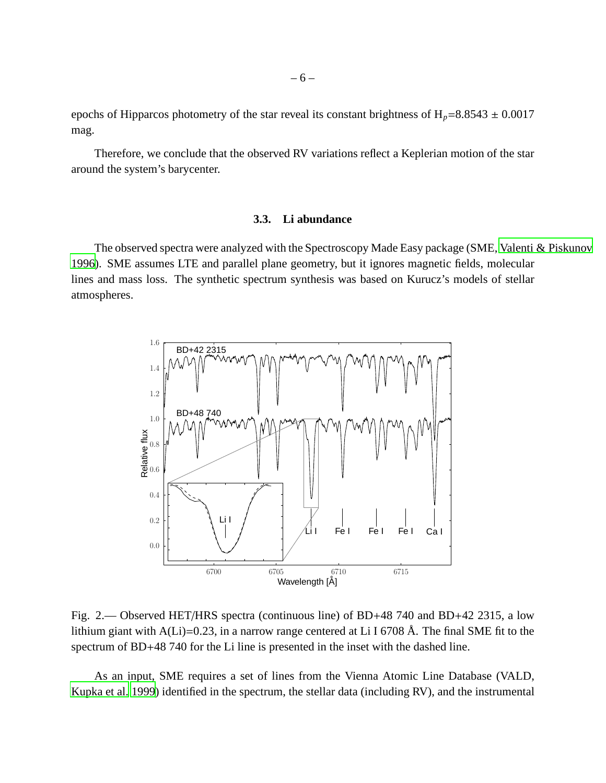epochs of Hipparcos photometry of the star reveal its constant brightness of  $H_p = 8.8543 \pm 0.0017$ mag.

Therefore, we conclude that the observed RV variations reflect a Keplerian motion of the star around the system's barycenter.

# **3.3. Li abundance**

The observed spectra were analyzed with the Spectroscopy Made Easy package (SME, [Valenti & Piskunov](#page-12-6) [1996\)](#page-12-6). SME assumes LTE and parallel plane geometry, but it ignores magnetic fields, molecular lines and mass loss. The synthetic spectrum synthesis was based on Kurucz's models of stellar atmospheres.



<span id="page-5-0"></span>Fig. 2.— Observed HET/HRS spectra (continuous line) of BD+48 740 and BD+42 2315, a low lithium giant with A(Li)=0.23, in a narrow range centered at Li I 6708 Å. The final SME fit to the spectrum of BD+48 740 for the Li line is presented in the inset with the dashed line.

As an input, SME requires a set of lines from the Vienna Atomic Line Database (VALD, [Kupka et al. 1999\)](#page-11-7) identified in the spectrum, the stellar data (including RV), and the instrumental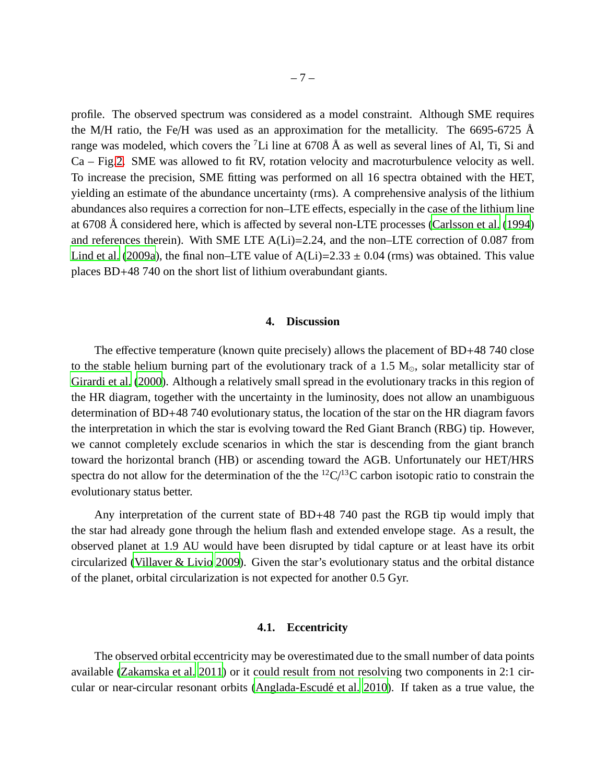profile. The observed spectrum was considered as a model constraint. Although SME requires the M/H ratio, the Fe/H was used as an approximation for the metallicity. The 6695-6725  $\AA$ range was modeled, which covers the  ${}^{7}$ Li line at 6708 Å as well as several lines of Al, Ti, Si and Ca – Fig[.2.](#page-5-0) SME was allowed to fit RV, rotation velocity and macroturbulence velocity as well. To increase the precision, SME fitting was performed on all 16 spectra obtained with the HET, yielding an estimate of the abundance uncertainty (rms). A comprehensive analysis of the lithium abundances also requires a correction for non–LTE effects, especially in the case of the lithium line at 6708 Å considered here, which is affected by several non-LTE processes [\(Carlsson et al. \(1994](#page-11-8)) and references therein). With SME LTE A(Li)=2.24, and the non–LTE correction of 0.087 from [Lind et al.](#page-12-7) [\(2009a](#page-12-7)), the final non–LTE value of  $A(Li)=2.33 \pm 0.04$  (rms) was obtained. This value places BD+48 740 on the short list of lithium overabundant giants.

### **4. Discussion**

The effective temperature (known quite precisely) allows the placement of BD+48 740 close to the stable helium burning part of the evolutionary track of a 1.5  $M_{\odot}$ , solar metallicity star of [Girardi et al.](#page-11-9) [\(2000\)](#page-11-9). Although a relatively small spread in the evolutionary tracks in this region of the HR diagram, together with the uncertainty in the luminosity, does not allow an unambiguous determination of BD+48 740 evolutionary status, the location of the star on the HR diagram favors the interpretation in which the star is evolving toward the Red Giant Branch (RBG) tip. However, we cannot completely exclude scenarios in which the star is descending from the giant branch toward the horizontal branch (HB) or ascending toward the AGB. Unfortunately our HET/HRS spectra do not allow for the determination of the the  ${}^{12}C/{}^{13}C$  carbon isotopic ratio to constrain the evolutionary status better.

Any interpretation of the current state of BD+48 740 past the RGB tip would imply that the star had already gone through the helium flash and extended envelope stage. As a result, the observed planet at 1.9 AU would have been disrupted by tidal capture or at least have its orbit circularized [\(Villaver & Livio 2009](#page-12-1)). Given the star's evolutionary status and the orbital distance of the planet, orbital circularization is not expected for another 0.5 Gyr.

# **4.1. Eccentricity**

The observed orbital eccentricity may be overestimated due to the small number of data points available [\(Zakamska et al. 2011\)](#page-12-8) or it could result from not resolving two components in 2:1 circular or near-circular resonant orbits (Anglada-Escudé et al. 2010). If taken as a true value, the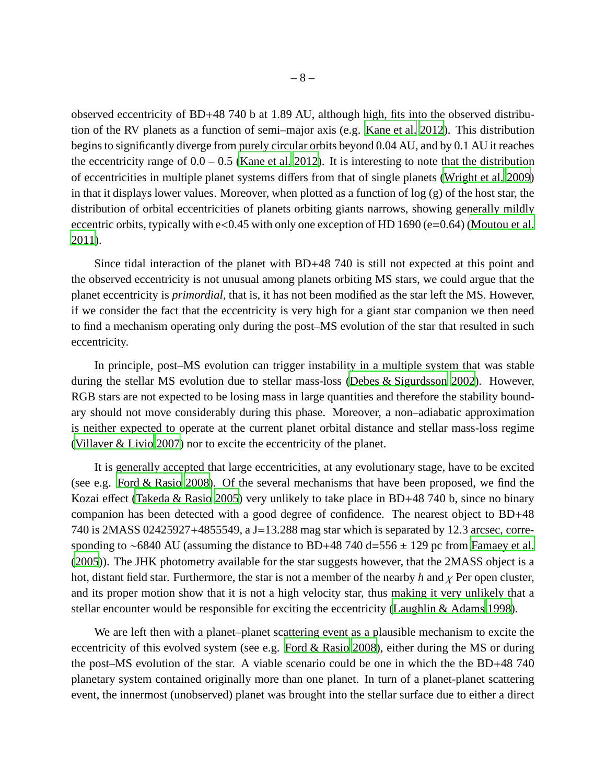observed eccentricity of BD+48 740 b at 1.89 AU, although high, fits into the observed distribution of the RV planets as a function of semi–major axis (e.g. [Kane et al. 2012](#page-11-10)). This distribution begins to significantly diverge from purely circular orbits beyond 0.04 AU, and by 0.1 AU it reaches the eccentricity range of  $0.0 - 0.5$  [\(Kane et al. 2012](#page-11-10)). It is interesting to note that the distribution of eccentricities in multiple planet systems differs from that of single planets [\(Wright et al. 2009](#page-12-9)) in that it displays lower values. Moreover, when plotted as a function of log (g) of the host star, the distribution of orbital eccentricities of planets orbiting giants narrows, showing generally mildly eccentric orbits, typically with e<0.45 with only one exception of HD 1690 (e=0.64) [\(Moutou et al.](#page-12-10) [2011\)](#page-12-10).

Since tidal interaction of the planet with BD+48 740 is still not expected at this point and the observed eccentricity is not unusual among planets orbiting MS stars, we could argue that the planet eccentricity is *primordial*, that is, it has not been modified as the star left the MS. However, if we consider the fact that the eccentricity is very high for a giant star companion we then need to find a mechanism operating only during the post–MS evolution of the star that resulted in such eccentricity.

In principle, post–MS evolution can trigger instability in a multiple system that was stable during the stellar MS evolution due to stellar mass-loss [\(Debes & Sigurdsson 2002\)](#page-11-11). However, RGB stars are not expected to be losing mass in large quantities and therefore the stability boundary should not move considerably during this phase. Moreover, a non–adiabatic approximation is neither expected to operate at the current planet orbital distance and stellar mass-loss regime [\(Villaver & Livio 2007\)](#page-12-11) nor to excite the eccentricity of the planet.

It is generally accepted that large eccentricities, at any evolutionary stage, have to be excited (see e.g. [Ford & Rasio 2008\)](#page-11-12). Of the several mechanisms that have been proposed, we find the Kozai effect [\(Takeda & Rasio 2005](#page-12-12)) very unlikely to take place in BD+48 740 b, since no binary companion has been detected with a good degree of confidence. The nearest object to BD+48 740 is 2MASS 02425927+4855549, a J=13.288 mag star which is separated by 12.3 arcsec, corre-sponding to ∼6840 AU (assuming the distance to BD+48 740 d=556 ± 129 pc from [Famaey et al.](#page-11-5) [\(2005\)](#page-11-5)). The JHK photometry available for the star suggests however, that the 2MASS object is a hot, distant field star. Furthermore, the star is not a member of the nearby *h* and χ Per open cluster, and its proper motion show that it is not a high velocity star, thus making it very unlikely that a stellar encounter would be responsible for exciting the eccentricity [\(Laughlin & Adams 1998\)](#page-12-13).

We are left then with a planet–planet scattering event as a plausible mechanism to excite the eccentricity of this evolved system (see e.g. [Ford & Rasio 2008\)](#page-11-12), either during the MS or during the post–MS evolution of the star. A viable scenario could be one in which the the BD+48 740 planetary system contained originally more than one planet. In turn of a planet-planet scattering event, the innermost (unobserved) planet was brought into the stellar surface due to either a direct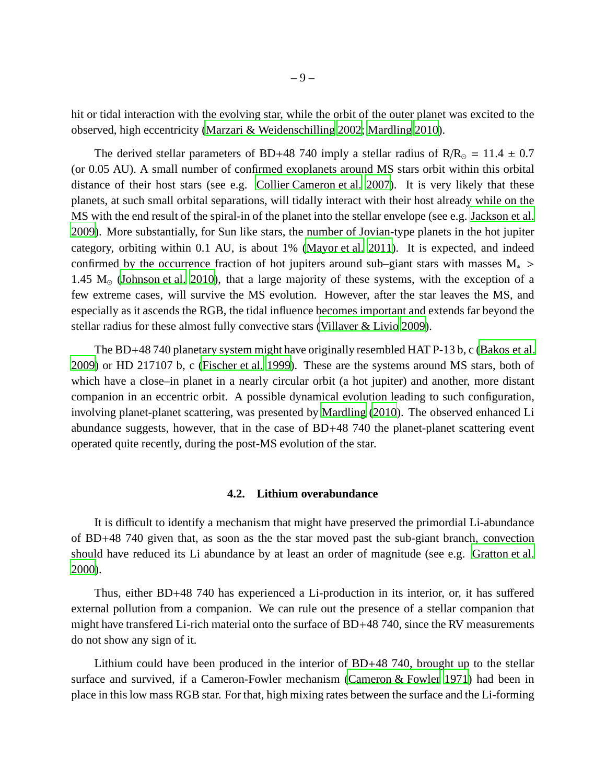hit or tidal interaction with the evolving star, while the orbit of the outer planet was excited to the observed, high eccentricity [\(Marzari & Weidenschilling 2002](#page-12-14); [Mardling 2010](#page-12-15)).

The derived stellar parameters of BD+48 740 imply a stellar radius of  $R/R<sub>o</sub> = 11.4 \pm 0.7$ (or 0.05 AU). A small number of confirmed exoplanets around MS stars orbit within this orbital distance of their host stars (see e.g. [Collier Cameron et al.](#page-11-13) [2007](#page-11-13)). It is very likely that these planets, at such small orbital separations, will tidally interact with their host already while on the MS with the end result of the spiral-in of the planet into the stellar envelope (see e.g. [Jackson et al.](#page-11-14) [2009\)](#page-11-14). More substantially, for Sun like stars, the number of Jovian-type planets in the hot jupiter category, orbiting within 0.1 AU, is about 1% [\(Mayor et al. 2011](#page-12-16)). It is expected, and indeed confirmed by the occurrence fraction of hot jupiters around sub–giant stars with masses  $M_*$  > 1.45  $M<sub>o</sub>$  [\(Johnson et al. 2010](#page-11-0)), that a large majority of these systems, with the exception of a few extreme cases, will survive the MS evolution. However, after the star leaves the MS, and especially as it ascends the RGB, the tidal influence becomes important and extends far beyond the stellar radius for these almost fully convective stars [\(Villaver & Livio 2009\)](#page-12-1).

The BD+48 740 planetary system might have originally resembled HAT P-13 b, c [\(Bakos et al.](#page-10-3) [2009\)](#page-10-3) or HD 217107 b, c [\(Fischer et al. 1999\)](#page-11-15). These are the systems around MS stars, both of which have a close–in planet in a nearly circular orbit (a hot jupiter) and another, more distant companion in an eccentric orbit. A possible dynamical evolution leading to such configuration, involving planet-planet scattering, was presented by [Mardling \(2010](#page-12-15)). The observed enhanced Li abundance suggests, however, that in the case of BD+48 740 the planet-planet scattering event operated quite recently, during the post-MS evolution of the star.

#### **4.2. Lithium overabundance**

It is difficult to identify a mechanism that might have preserved the primordial Li-abundance of BD+48 740 given that, as soon as the the star moved past the sub-giant branch, convection should have reduced its Li abundance by at least an order of magnitude (see e.g. [Gratton et al.](#page-11-16) [2000\)](#page-11-16).

Thus, either BD+48 740 has experienced a Li-production in its interior, or, it has suffered external pollution from a companion. We can rule out the presence of a stellar companion that might have transfered Li-rich material onto the surface of BD+48 740, since the RV measurements do not show any sign of it.

Lithium could have been produced in the interior of BD+48 740, brought up to the stellar surface and survived, if a Cameron-Fowler mechanism [\(Cameron & Fowler 1971](#page-11-17)) had been in place in this low mass RGB star. For that, high mixing rates between the surface and the Li-forming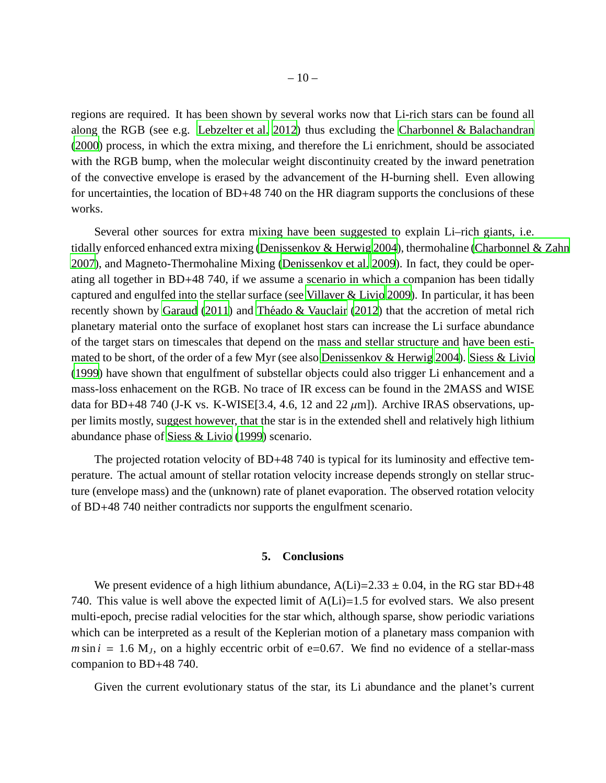regions are required. It has been shown by several works now that Li-rich stars can be found all along the RGB (see e.g. [Lebzelter et al. 2012\)](#page-12-17) thus excluding the [Charbonnel & Balachandran](#page-11-18) [\(2000\)](#page-11-18) process, in which the extra mixing, and therefore the Li enrichment, should be associated with the RGB bump, when the molecular weight discontinuity created by the inward penetration of the convective envelope is erased by the advancement of the H-burning shell. Even allowing for uncertainties, the location of BD+48 740 on the HR diagram supports the conclusions of these works.

Several other sources for extra mixing have been suggested to explain Li–rich giants, i.e. tidally enforced enhanced extra mixing [\(Denissenkov & Herwig 2004](#page-11-19)), thermohaline [\(Charbonnel & Zahn](#page-11-20) [2007\)](#page-11-20), and Magneto-Thermohaline Mixing [\(Denissenkov et al. 2009\)](#page-11-21). In fact, they could be operating all together in BD+48 740, if we assume a scenario in which a companion has been tidally captured and engulfed into the stellar surface (see [Villaver & Livio 2009](#page-12-1)). In particular, it has been recently shown by [Garaud \(2011](#page-11-22)) and Théado & Vauclair (2012) that the accretion of metal rich planetary material onto the surface of exoplanet host stars can increase the Li surface abundance of the target stars on timescales that depend on the mass and stellar structure and have been estimated to be short, of the order of a few Myr (see also [Denissenkov & Herwig 2004\)](#page-11-19). [Siess & Livio](#page-12-19) [\(1999\)](#page-12-19) have shown that engulfment of substellar objects could also trigger Li enhancement and a mass-loss enhacement on the RGB. No trace of IR excess can be found in the 2MASS and WISE data for BD+48 740 (J-K vs. K-WISE[3.4, 4.6, 12 and 22  $\mu$ m]). Archive IRAS observations, upper limits mostly, suggest however, that the star is in the extended shell and relatively high lithium abundance phase of [Siess & Livio \(1999](#page-12-19)) scenario.

The projected rotation velocity of BD+48 740 is typical for its luminosity and effective temperature. The actual amount of stellar rotation velocity increase depends strongly on stellar structure (envelope mass) and the (unknown) rate of planet evaporation. The observed rotation velocity of BD+48 740 neither contradicts nor supports the engulfment scenario.

# **5. Conclusions**

We present evidence of a high lithium abundance,  $A(Li)=2.33 \pm 0.04$ , in the RG star BD+48 740. This value is well above the expected limit of  $A(L)$ =1.5 for evolved stars. We also present multi-epoch, precise radial velocities for the star which, although sparse, show periodic variations which can be interpreted as a result of the Keplerian motion of a planetary mass companion with  $m \sin i = 1.6$  M<sub>J</sub>, on a highly eccentric orbit of e=0.67. We find no evidence of a stellar-mass companion to BD+48 740.

Given the current evolutionary status of the star, its Li abundance and the planet's current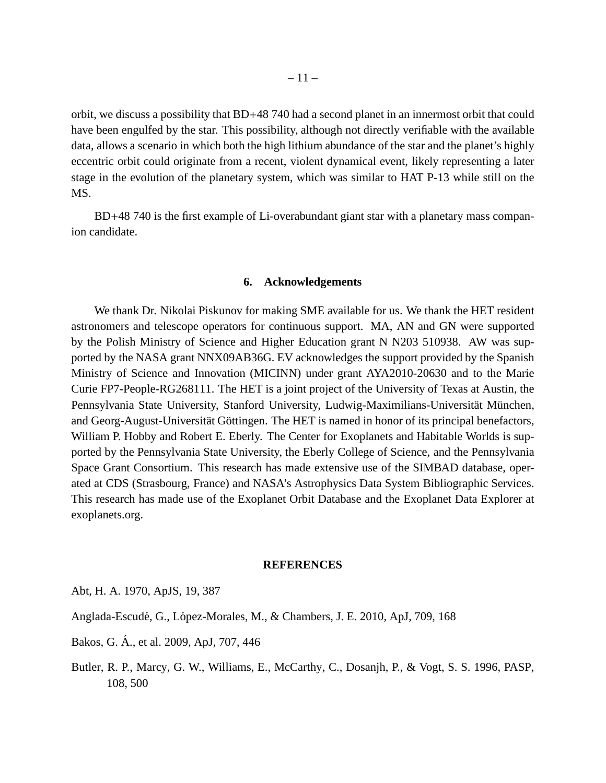orbit, we discuss a possibility that BD+48 740 had a second planet in an innermost orbit that could have been engulfed by the star. This possibility, although not directly verifiable with the available data, allows a scenario in which both the high lithium abundance of the star and the planet's highly eccentric orbit could originate from a recent, violent dynamical event, likely representing a later stage in the evolution of the planetary system, which was similar to HAT P-13 while still on the MS.

BD+48 740 is the first example of Li-overabundant giant star with a planetary mass companion candidate.

### **6. Acknowledgements**

We thank Dr. Nikolai Piskunov for making SME available for us. We thank the HET resident astronomers and telescope operators for continuous support. MA, AN and GN were supported by the Polish Ministry of Science and Higher Education grant N N203 510938. AW was supported by the NASA grant NNX09AB36G. EV acknowledges the support provided by the Spanish Ministry of Science and Innovation (MICINN) under grant AYA2010-20630 and to the Marie Curie FP7-People-RG268111. The HET is a joint project of the University of Texas at Austin, the Pennsylvania State University, Stanford University, Ludwig-Maximilians-Universität München, and Georg-August-Universität Göttingen. The HET is named in honor of its principal benefactors, William P. Hobby and Robert E. Eberly. The Center for Exoplanets and Habitable Worlds is supported by the Pennsylvania State University, the Eberly College of Science, and the Pennsylvania Space Grant Consortium. This research has made extensive use of the SIMBAD database, operated at CDS (Strasbourg, France) and NASA's Astrophysics Data System Bibliographic Services. This research has made use of the Exoplanet Orbit Database and the Exoplanet Data Explorer at exoplanets.org.

## **REFERENCES**

<span id="page-10-1"></span>Abt, H. A. 1970, ApJS, 19, 387

<span id="page-10-2"></span>Anglada-Escudé, G., López-Morales, M., & Chambers, J. E. 2010, ApJ, 709, 168

<span id="page-10-3"></span>Bakos, G. A., et al. 2009, ApJ, 707, 446 ´

<span id="page-10-0"></span>Butler, R. P., Marcy, G. W., Williams, E., McCarthy, C., Dosanjh, P., & Vogt, S. S. 1996, PASP, 108, 500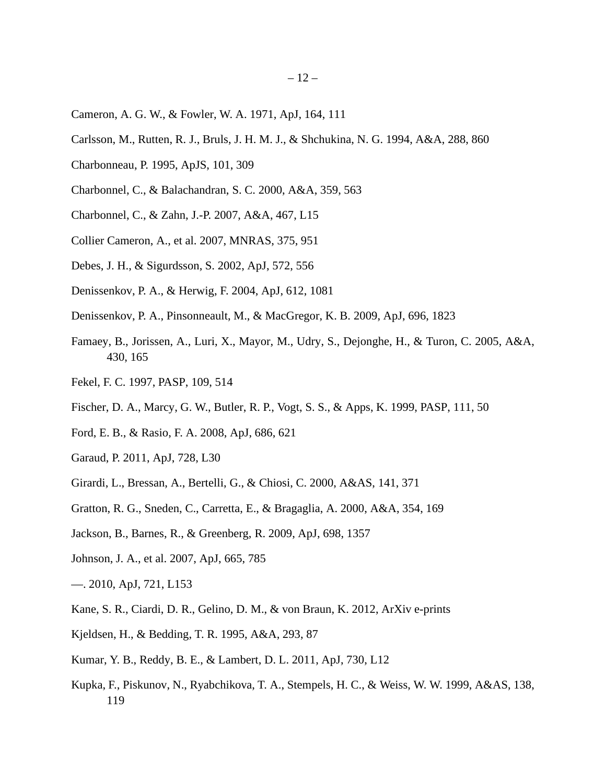- <span id="page-11-17"></span>Cameron, A. G. W., & Fowler, W. A. 1971, ApJ, 164, 111
- <span id="page-11-8"></span>Carlsson, M., Rutten, R. J., Bruls, J. H. M. J., & Shchukina, N. G. 1994, A&A, 288, 860
- <span id="page-11-6"></span>Charbonneau, P. 1995, ApJS, 101, 309
- <span id="page-11-18"></span>Charbonnel, C., & Balachandran, S. C. 2000, A&A, 359, 563
- <span id="page-11-20"></span>Charbonnel, C., & Zahn, J.-P. 2007, A&A, 467, L15
- <span id="page-11-13"></span>Collier Cameron, A., et al. 2007, MNRAS, 375, 951
- <span id="page-11-11"></span>Debes, J. H., & Sigurdsson, S. 2002, ApJ, 572, 556
- <span id="page-11-19"></span>Denissenkov, P. A., & Herwig, F. 2004, ApJ, 612, 1081
- <span id="page-11-21"></span>Denissenkov, P. A., Pinsonneault, M., & MacGregor, K. B. 2009, ApJ, 696, 1823
- <span id="page-11-5"></span>Famaey, B., Jorissen, A., Luri, X., Mayor, M., Udry, S., Dejonghe, H., & Turon, C. 2005, A&A, 430, 165
- <span id="page-11-3"></span>Fekel, F. C. 1997, PASP, 109, 514
- <span id="page-11-15"></span>Fischer, D. A., Marcy, G. W., Butler, R. P., Vogt, S. S., & Apps, K. 1999, PASP, 111, 50
- <span id="page-11-12"></span>Ford, E. B., & Rasio, F. A. 2008, ApJ, 686, 621
- <span id="page-11-22"></span>Garaud, P. 2011, ApJ, 728, L30
- <span id="page-11-9"></span>Girardi, L., Bressan, A., Bertelli, G., & Chiosi, C. 2000, A&AS, 141, 371
- <span id="page-11-16"></span>Gratton, R. G., Sneden, C., Carretta, E., & Bragaglia, A. 2000, A&A, 354, 169
- <span id="page-11-14"></span>Jackson, B., Barnes, R., & Greenberg, R. 2009, ApJ, 698, 1357
- <span id="page-11-1"></span>Johnson, J. A., et al. 2007, ApJ, 665, 785
- <span id="page-11-0"></span>—. 2010, ApJ, 721, L153
- <span id="page-11-10"></span>Kane, S. R., Ciardi, D. R., Gelino, D. M., & von Braun, K. 2012, ArXiv e-prints
- <span id="page-11-4"></span>Kjeldsen, H., & Bedding, T. R. 1995, A&A, 293, 87
- <span id="page-11-2"></span>Kumar, Y. B., Reddy, B. E., & Lambert, D. L. 2011, ApJ, 730, L12
- <span id="page-11-7"></span>Kupka, F., Piskunov, N., Ryabchikova, T. A., Stempels, H. C., & Weiss, W. W. 1999, A&AS, 138, 119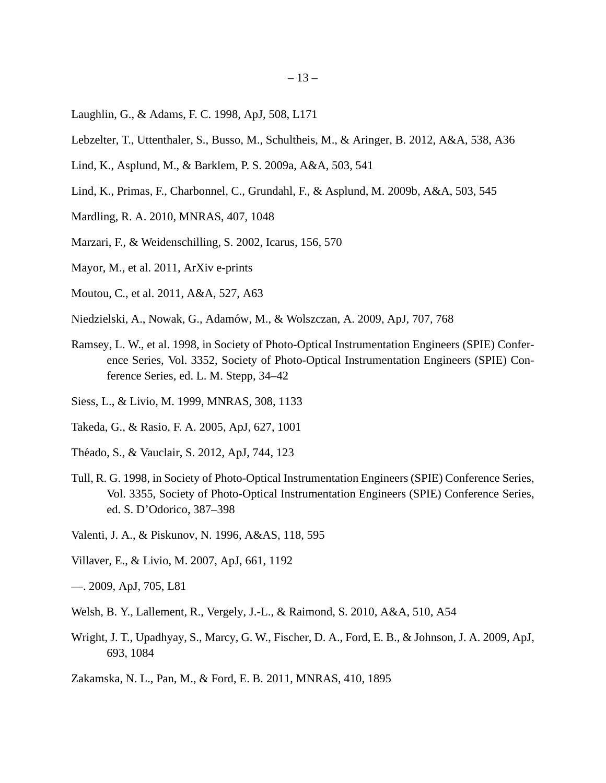- <span id="page-12-13"></span>Laughlin, G., & Adams, F. C. 1998, ApJ, 508, L171
- <span id="page-12-17"></span>Lebzelter, T., Uttenthaler, S., Busso, M., Schultheis, M., & Aringer, B. 2012, A&A, 538, A36
- <span id="page-12-7"></span>Lind, K., Asplund, M., & Barklem, P. S. 2009a, A&A, 503, 541
- <span id="page-12-2"></span>Lind, K., Primas, F., Charbonnel, C., Grundahl, F., & Asplund, M. 2009b, A&A, 503, 545
- <span id="page-12-15"></span>Mardling, R. A. 2010, MNRAS, 407, 1048
- <span id="page-12-14"></span>Marzari, F., & Weidenschilling, S. 2002, Icarus, 156, 570
- <span id="page-12-16"></span>Mayor, M., et al. 2011, ArXiv e-prints
- <span id="page-12-10"></span>Moutou, C., et al. 2011, A&A, 527, A63
- <span id="page-12-0"></span>Niedzielski, A., Nowak, G., Adam´ow, M., & Wolszczan, A. 2009, ApJ, 707, 768
- <span id="page-12-3"></span>Ramsey, L. W., et al. 1998, in Society of Photo-Optical Instrumentation Engineers (SPIE) Conference Series, Vol. 3352, Society of Photo-Optical Instrumentation Engineers (SPIE) Conference Series, ed. L. M. Stepp, 34–42
- <span id="page-12-19"></span>Siess, L., & Livio, M. 1999, MNRAS, 308, 1133
- <span id="page-12-12"></span>Takeda, G., & Rasio, F. A. 2005, ApJ, 627, 1001
- <span id="page-12-18"></span>Théado, S., & Vauclair, S. 2012, ApJ, 744, 123
- <span id="page-12-4"></span>Tull, R. G. 1998, in Society of Photo-Optical Instrumentation Engineers (SPIE) Conference Series, Vol. 3355, Society of Photo-Optical Instrumentation Engineers (SPIE) Conference Series, ed. S. D'Odorico, 387–398
- <span id="page-12-6"></span>Valenti, J. A., & Piskunov, N. 1996, A&AS, 118, 595
- <span id="page-12-11"></span>Villaver, E., & Livio, M. 2007, ApJ, 661, 1192
- <span id="page-12-1"></span>—. 2009, ApJ, 705, L81
- <span id="page-12-5"></span>Welsh, B. Y., Lallement, R., Vergely, J.-L., & Raimond, S. 2010, A&A, 510, A54
- <span id="page-12-9"></span>Wright, J. T., Upadhyay, S., Marcy, G. W., Fischer, D. A., Ford, E. B., & Johnson, J. A. 2009, ApJ, 693, 1084
- <span id="page-12-8"></span>Zakamska, N. L., Pan, M., & Ford, E. B. 2011, MNRAS, 410, 1895